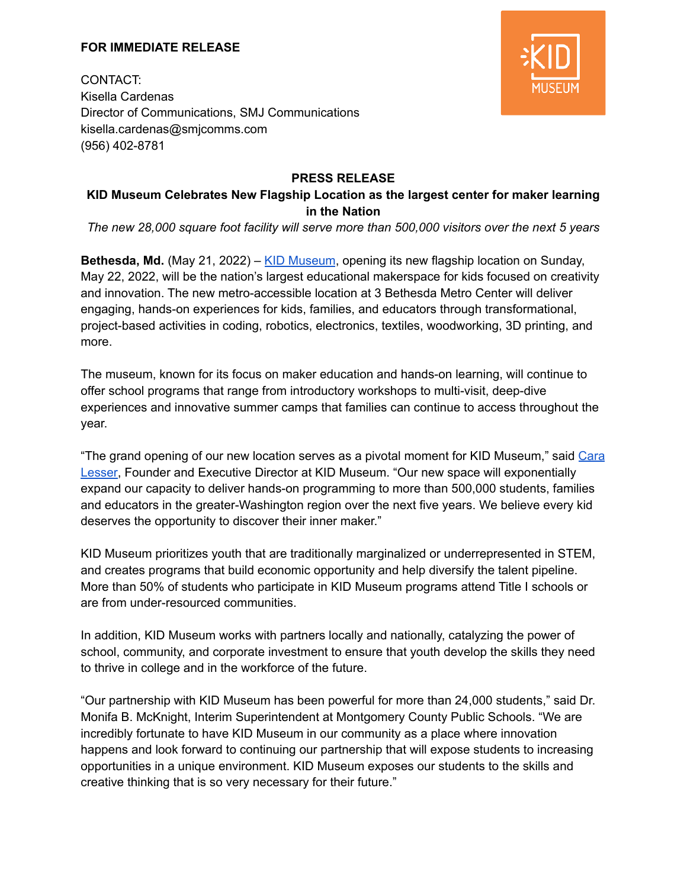### **FOR IMMEDIATE RELEASE**



CONTACT: Kisella Cardenas Director of Communications, SMJ Communications kisella.cardenas@smjcomms.com (956) 402-8781

## **PRESS RELEASE**

# **KID Museum Celebrates New Flagship Location as the largest center for maker learning in the Nation**

*The new 28,000 square foot facility will serve more than 500,000 visitors over the next 5 years*

**Bethesda, Md.** (May 21, 2022) – KID [Museum](https://kid-museum.org/), opening its new flagship location on Sunday, May 22, 2022, will be the nation's largest educational makerspace for kids focused on creativity and innovation. The new metro-accessible location at 3 Bethesda Metro Center will deliver engaging, hands-on experiences for kids, families, and educators through transformational, project-based activities in coding, robotics, electronics, textiles, woodworking, 3D printing, and more.

The museum, known for its focus on maker education and hands-on learning, will continue to offer school programs that range from introductory workshops to multi-visit, deep-dive experiences and innovative summer camps that families can continue to access throughout the year.

"The grand opening of our new location serves as a pivotal moment for KID Museum," said [Cara](https://kid-museum.org/about/team/) [Lesser,](https://kid-museum.org/about/team/) Founder and Executive Director at KID Museum. "Our new space will exponentially expand our capacity to deliver hands-on programming to more than 500,000 students, families and educators in the greater-Washington region over the next five years. We believe every kid deserves the opportunity to discover their inner maker."

KID Museum prioritizes youth that are traditionally marginalized or underrepresented in STEM, and creates programs that build economic opportunity and help diversify the talent pipeline. More than 50% of students who participate in KID Museum programs attend Title I schools or are from under-resourced communities.

In addition, KID Museum works with partners locally and nationally, catalyzing the power of school, community, and corporate investment to ensure that youth develop the skills they need to thrive in college and in the workforce of the future.

"Our partnership with KID Museum has been powerful for more than 24,000 students," said Dr. Monifa B. McKnight, Interim Superintendent at Montgomery County Public Schools. "We are incredibly fortunate to have KID Museum in our community as a place where innovation happens and look forward to continuing our partnership that will expose students to increasing opportunities in a unique environment. KID Museum exposes our students to the skills and creative thinking that is so very necessary for their future."